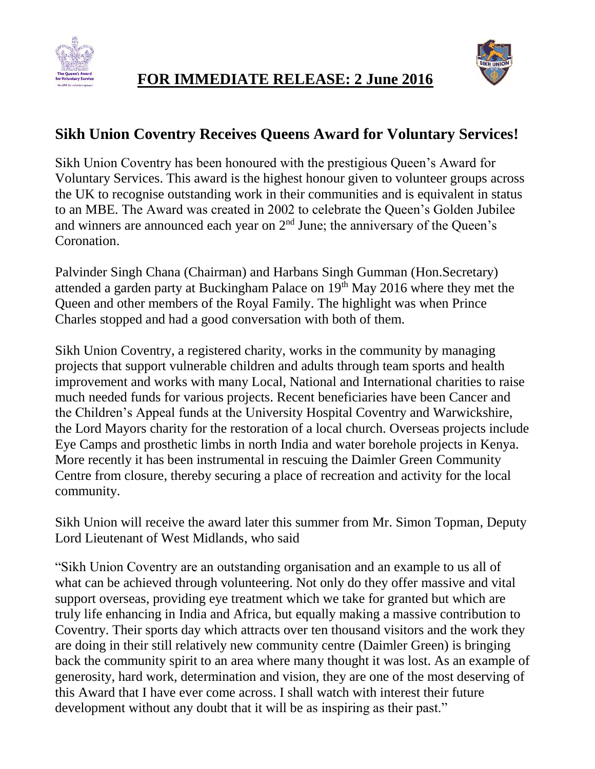



## **FOR IMMEDIATE RELEASE: 2 June 2016**

## **Sikh Union Coventry Receives Queens Award for Voluntary Services!**

Sikh Union Coventry has been honoured with the prestigious Queen's Award for Voluntary Services. This award is the highest honour given to volunteer groups across the UK to recognise outstanding work in their communities and is equivalent in status to an MBE. The Award was created in 2002 to celebrate the Queen's Golden Jubilee and winners are announced each year on  $2<sup>nd</sup>$  June; the anniversary of the Queen's Coronation.

Palvinder Singh Chana (Chairman) and Harbans Singh Gumman (Hon.Secretary) attended a garden party at Buckingham Palace on  $19<sup>th</sup>$  May 2016 where they met the Queen and other members of the Royal Family. The highlight was when Prince Charles stopped and had a good conversation with both of them.

Sikh Union Coventry, a registered charity, works in the community by managing projects that support vulnerable children and adults through team sports and health improvement and works with many Local, National and International charities to raise much needed funds for various projects. Recent beneficiaries have been Cancer and the Children's Appeal funds at the University Hospital Coventry and Warwickshire, the Lord Mayors charity for the restoration of a local church. Overseas projects include Eye Camps and prosthetic limbs in north India and water borehole projects in Kenya. More recently it has been instrumental in rescuing the Daimler Green Community Centre from closure, thereby securing a place of recreation and activity for the local community.

Sikh Union will receive the award later this summer from Mr. Simon Topman, Deputy Lord Lieutenant of West Midlands, who said

"Sikh Union Coventry are an outstanding organisation and an example to us all of what can be achieved through volunteering. Not only do they offer massive and vital support overseas, providing eye treatment which we take for granted but which are truly life enhancing in India and Africa, but equally making a massive contribution to Coventry. Their sports day which attracts over ten thousand visitors and the work they are doing in their still relatively new community centre (Daimler Green) is bringing back the community spirit to an area where many thought it was lost. As an example of generosity, hard work, determination and vision, they are one of the most deserving of this Award that I have ever come across. I shall watch with interest their future development without any doubt that it will be as inspiring as their past."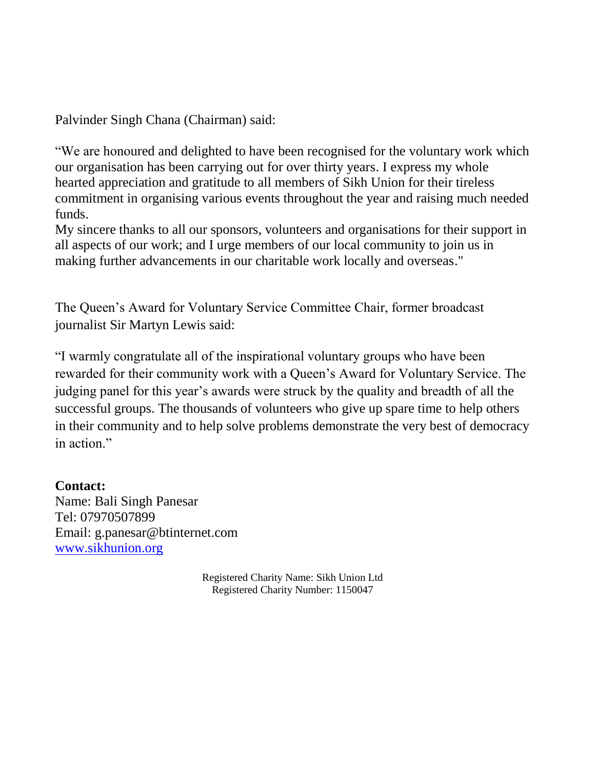Palvinder Singh Chana (Chairman) said:

"We are honoured and delighted to have been recognised for the voluntary work which our organisation has been carrying out for over thirty years. I express my whole hearted appreciation and gratitude to all members of Sikh Union for their tireless commitment in organising various events throughout the year and raising much needed funds.

My sincere thanks to all our sponsors, volunteers and organisations for their support in all aspects of our work; and I urge members of our local community to join us in making further advancements in our charitable work locally and overseas."

The Queen's Award for Voluntary Service Committee Chair, former broadcast journalist Sir Martyn Lewis said:

"I warmly congratulate all of the inspirational voluntary groups who have been rewarded for their community work with a Queen's Award for Voluntary Service. The judging panel for this year's awards were struck by the quality and breadth of all the successful groups. The thousands of volunteers who give up spare time to help others in their community and to help solve problems demonstrate the very best of democracy in action."

**Contact:** Name: Bali Singh Panesar Tel: 07970507899 Email: g.panesar@btinternet.com [www.sikhunion.org](http://www.sikhunion.org/)

> Registered Charity Name: Sikh Union Ltd Registered Charity Number: 1150047